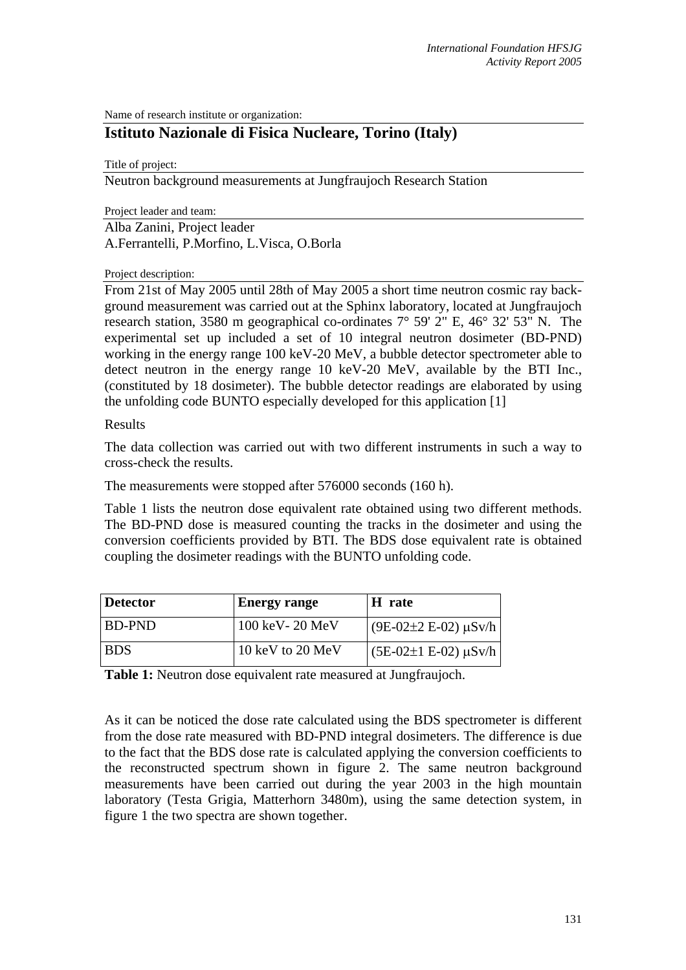Name of research institute or organization:

# **Istituto Nazionale di Fisica Nucleare, Torino (Italy)**

Title of project:

Neutron background measurements at Jungfraujoch Research Station

Project leader and team:

Alba Zanini, Project leader A.Ferrantelli, P.Morfino, L.Visca, O.Borla

Project description:

From 21st of May 2005 until 28th of May 2005 a short time neutron cosmic ray background measurement was carried out at the Sphinx laboratory, located at Jungfraujoch research station, 3580 m geographical co-ordinates 7° 59' 2" E, 46° 32' 53" N. The experimental set up included a set of 10 integral neutron dosimeter (BD-PND) working in the energy range 100 keV-20 MeV, a bubble detector spectrometer able to detect neutron in the energy range 10 keV-20 MeV, available by the BTI Inc., (constituted by 18 dosimeter). The bubble detector readings are elaborated by using the unfolding code BUNTO especially developed for this application [1]

Results

The data collection was carried out with two different instruments in such a way to cross-check the results.

The measurements were stopped after 576000 seconds (160 h).

Table 1 lists the neutron dose equivalent rate obtained using two different methods. The BD-PND dose is measured counting the tracks in the dosimeter and using the conversion coefficients provided by BTI. The BDS dose equivalent rate is obtained coupling the dosimeter readings with the BUNTO unfolding code.

| <b>Detector</b> | <b>Energy range</b> | H rate                       |
|-----------------|---------------------|------------------------------|
| BD-PND          | 100 keV - 20 MeV    | $(9E-02\pm 2 E-02) \mu Sv/h$ |
| <b>BDS</b>      | 10 keV to 20 MeV    | $(5E-02\pm1 E-02) \mu Sv/h$  |

**Table 1:** Neutron dose equivalent rate measured at Jungfraujoch.

As it can be noticed the dose rate calculated using the BDS spectrometer is different from the dose rate measured with BD-PND integral dosimeters. The difference is due to the fact that the BDS dose rate is calculated applying the conversion coefficients to the reconstructed spectrum shown in figure 2. The same neutron background measurements have been carried out during the year 2003 in the high mountain laboratory (Testa Grigia, Matterhorn 3480m), using the same detection system, in figure 1 the two spectra are shown together.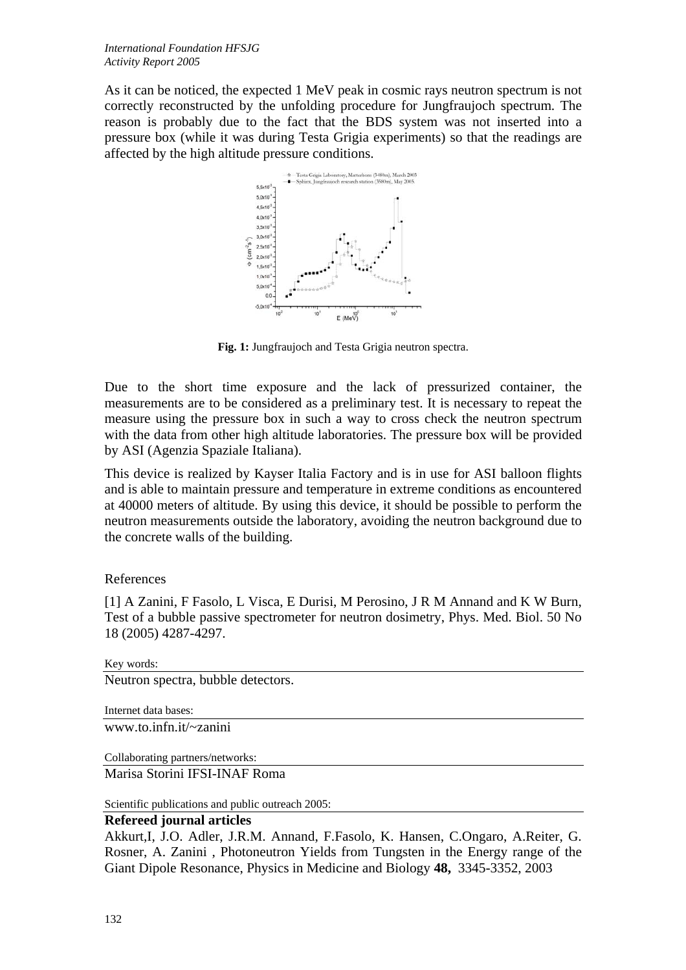As it can be noticed, the expected 1 MeV peak in cosmic rays neutron spectrum is not correctly reconstructed by the unfolding procedure for Jungfraujoch spectrum. The reason is probably due to the fact that the BDS system was not inserted into a pressure box (while it was during Testa Grigia experiments) so that the readings are affected by the high altitude pressure conditions.



**Fig. 1:** Jungfraujoch and Testa Grigia neutron spectra.

Due to the short time exposure and the lack of pressurized container, the measurements are to be considered as a preliminary test. It is necessary to repeat the measure using the pressure box in such a way to cross check the neutron spectrum with the data from other high altitude laboratories. The pressure box will be provided by ASI (Agenzia Spaziale Italiana).

This device is realized by Kayser Italia Factory and is in use for ASI balloon flights and is able to maintain pressure and temperature in extreme conditions as encountered at 40000 meters of altitude. By using this device, it should be possible to perform the neutron measurements outside the laboratory, avoiding the neutron background due to the concrete walls of the building.

## References

[1] A Zanini, F Fasolo, L Visca, E Durisi, M Perosino, J R M Annand and K W Burn, Test of a bubble passive spectrometer for neutron dosimetry, Phys. Med. Biol. 50 No 18 (2005) 4287-4297.

```
Key words:
```
Neutron spectra, bubble detectors.

Internet data bases:

www.to.infn.it/~zanini

Collaborating partners/networks:

Marisa Storini IFSI-INAF Roma

Scientific publications and public outreach 2005:

## **Refereed journal articles**

Akkurt,I, J.O. Adler, J.R.M. Annand, F.Fasolo, K. Hansen, C.Ongaro, A.Reiter, G. Rosner, A. Zanini , Photoneutron Yields from Tungsten in the Energy range of the Giant Dipole Resonance, Physics in Medicine and Biology **48,** 3345-3352, 2003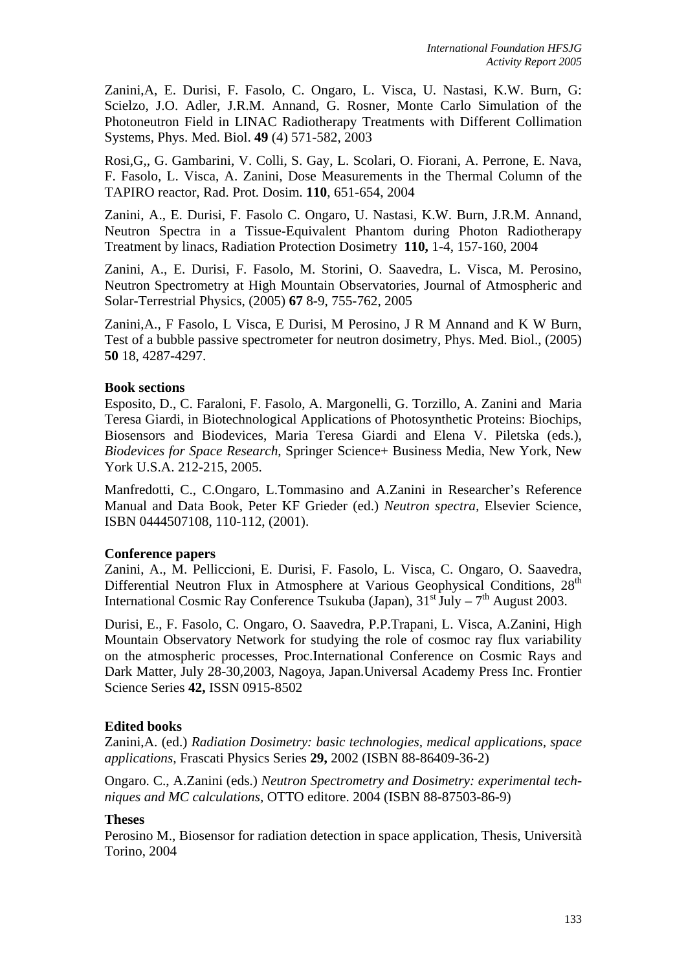Zanini,A, E. Durisi, F. Fasolo, C. Ongaro, L. Visca, U. Nastasi, K.W. Burn, G: Scielzo, J.O. Adler, J.R.M. Annand, G. Rosner, Monte Carlo Simulation of the Photoneutron Field in LINAC Radiotherapy Treatments with Different Collimation Systems, Phys. Med. Biol. **49** (4) 571-582, 2003

Rosi,G,, G. Gambarini, V. Colli, S. Gay, L. Scolari, O. Fiorani, A. Perrone, E. Nava, F. Fasolo, L. Visca, A. Zanini, Dose Measurements in the Thermal Column of the TAPIRO reactor, Rad. Prot. Dosim. **110**, 651-654, 2004

Zanini, A., E. Durisi, F. Fasolo C. Ongaro, U. Nastasi, K.W. Burn, J.R.M. Annand, Neutron Spectra in a Tissue-Equivalent Phantom during Photon Radiotherapy Treatment by linacs, Radiation Protection Dosimetry **110,** 1-4, 157-160, 2004

Zanini, A., E. Durisi, F. Fasolo, M. Storini, O. Saavedra, L. Visca, M. Perosino, Neutron Spectrometry at High Mountain Observatories, Journal of Atmospheric and Solar-Terrestrial Physics, (2005) **67** 8-9, 755-762, 2005

Zanini,A., F Fasolo, L Visca, E Durisi, M Perosino, J R M Annand and K W Burn, Test of a bubble passive spectrometer for neutron dosimetry, Phys. Med. Biol., (2005) **50** 18, 4287-4297.

### **Book sections**

Esposito, D., C. Faraloni, F. Fasolo, A. Margonelli, G. Torzillo, A. Zanini and Maria Teresa Giardi, in Biotechnological Applications of Photosynthetic Proteins: Biochips, Biosensors and Biodevices, Maria Teresa Giardi and Elena V. Piletska (eds.), *Biodevices for Space Research*, Springer Science+ Business Media, New York, New York U.S.A. 212-215, 2005.

Manfredotti, C., C.Ongaro, L.Tommasino and A.Zanini in Researcher's Reference Manual and Data Book, Peter KF Grieder (ed.) *Neutron spectra,* Elsevier Science, ISBN 0444507108, 110-112, (2001).

#### **Conference papers**

Zanini, A., M. Pelliccioni, E. Durisi, F. Fasolo, L. Visca, C. Ongaro, O. Saavedra, Differential Neutron Flux in Atmosphere at Various Geophysical Conditions,  $28<sup>th</sup>$ International Cosmic Ray Conference Tsukuba (Japan),  $31<sup>st</sup>$  July –  $7<sup>th</sup>$  August 2003.

Durisi, E., F. Fasolo, C. Ongaro, O. Saavedra, P.P.Trapani, L. Visca, A.Zanini, High Mountain Observatory Network for studying the role of cosmoc ray flux variability on the atmospheric processes, Proc.International Conference on Cosmic Rays and Dark Matter, July 28-30,2003, Nagoya, Japan.Universal Academy Press Inc. Frontier Science Series **42,** ISSN 0915-8502

## **Edited books**

Zanini,A. (ed.) *Radiation Dosimetry: basic technologies, medical applications, space applications,* Frascati Physics Series **29,** 2002 (ISBN 88-86409-36-2)

Ongaro. C., A.Zanini (eds.) *Neutron Spectrometry and Dosimetry: experimental techniques and MC calculations,* OTTO editore. 2004 (ISBN 88-87503-86-9)

## **Theses**

Perosino M., Biosensor for radiation detection in space application, Thesis, Università Torino, 2004